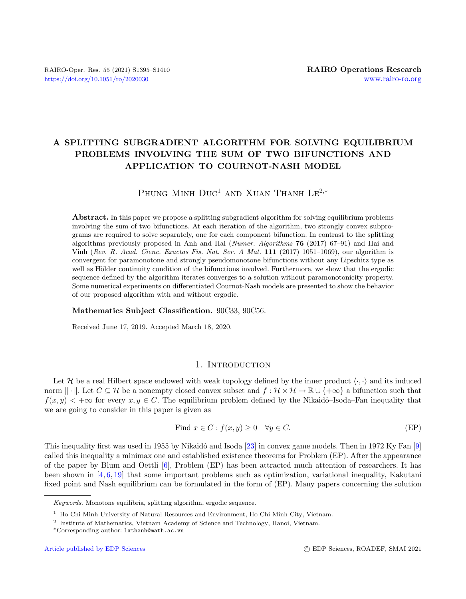# A SPLITTING SUBGRADIENT ALGORITHM FOR SOLVING EQUILIBRIUM PROBLEMS INVOLVING THE SUM OF TWO BIFUNCTIONS AND APPLICATION TO COURNOT-NASH MODEL

# PHUNG MINH DUC<sup>1</sup> AND XUAN THANH LE<sup>2,\*</sup>

Abstract. In this paper we propose a splitting subgradient algorithm for solving equilibrium problems involving the sum of two bifunctions. At each iteration of the algorithm, two strongly convex subprograms are required to solve separately, one for each component bifunction. In contrast to the splitting algorithms previously proposed in Anh and Hai (Numer. Algorithms 76 (2017) 67–91) and Hai and Vinh (Rev. R. Acad. Cienc. Exactas Fis. Nat. Ser. A Mat. 111 (2017) 1051–1069), our algorithm is convergent for paramonotone and strongly pseudomonotone bifunctions without any Lipschitz type as well as Hölder continuity condition of the bifunctions involved. Furthermore, we show that the ergodic sequence defined by the algorithm iterates converges to a solution without paramonotonicity property. Some numerical experiments on differentiated Cournot-Nash models are presented to show the behavior of our proposed algorithm with and without ergodic.

### Mathematics Subject Classification. 90C33, 90C56.

Received June 17, 2019. Accepted March 18, 2020.

## 1. INTRODUCTION

Let H be a real Hilbert space endowed with weak topology defined by the inner product  $\langle \cdot, \cdot \rangle$  and its induced norm  $\|\cdot\|$ . Let  $C \subseteq \mathcal{H}$  be a nonempty closed convex subset and  $f : \mathcal{H} \times \mathcal{H} \to \mathbb{R} \cup \{+\infty\}$  a bifunction such that  $f(x, y) < +\infty$  for every  $x, y \in C$ . The equilibrium problem defined by the Nikaidô–Isoda–Fan inequality that we are going to consider in this paper is given as

Find 
$$
x \in C : f(x, y) \ge 0 \quad \forall y \in C.
$$
 (EP)

This inequality first was used in 1955 by Nikaidô and Isoda  $[23]$  in convex game models. Then in 1972 Ky Fan  $[9]$ called this inequality a minimax one and established existence theorems for Problem (EP). After the appearance of the paper by Blum and Oettli [\[6\]](#page-14-0), Problem (EP) has been attracted much attention of researchers. It has been shown in  $[4, 6, 19]$  $[4, 6, 19]$  $[4, 6, 19]$  $[4, 6, 19]$  $[4, 6, 19]$  that some important problems such as optimization, variational inequality, Kakutani fixed point and Nash equilibrium can be formulated in the form of (EP). Many papers concerning the solution

Keywords. Monotone equilibria, splitting algorithm, ergodic sequence.

<sup>1</sup> Ho Chi Minh University of Natural Resources and Environment, Ho Chi Minh City, Vietnam.

<sup>2</sup> Institute of Mathematics, Vietnam Academy of Science and Technology, Hanoi, Vietnam.

<sup>∗</sup>Corresponding author: [lxthanh@math.ac.vn](mailto:lxthanh@math.ac.vn)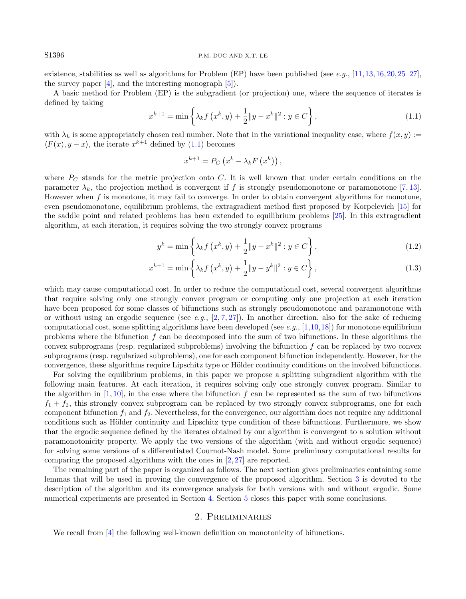existence, stabilities as well as algorithms for Problem (EP) have been published (see e.g., [\[11,](#page-15-3)[13,](#page-15-4)[16,](#page-15-5)[20,](#page-15-6)[25](#page-15-7)[–27\]](#page-15-8), the survey paper  $[4]$ , and the interesting monograph  $[5]$ .

A basic method for Problem (EP) is the subgradient (or projection) one, where the sequence of iterates is defined by taking

$$
x^{k+1} = \min\left\{\lambda_k f\left(x^k, y\right) + \frac{1}{2} \|y - x^k\|^2 : y \in C\right\},\tag{1.1}
$$

with  $\lambda_k$  is some appropriately chosen real number. Note that in the variational inequality case, where  $f(x, y) :=$  $\langle F(x), y-x \rangle$ , the iterate  $x^{k+1}$  defined by [\(1.1\)](#page-1-0) becomes

$$
x^{k+1} = P_C\left(x^k - \lambda_k F\left(x^k\right)\right),
$$

where  $P_C$  stands for the metric projection onto C. It is well known that under certain conditions on the parameter  $\lambda_k$ , the projection method is convergent if f is strongly pseudomonotone or paramonotone [\[7,](#page-14-3) [13\]](#page-15-4). However when  $f$  is monotone, it may fail to converge. In order to obtain convergent algorithms for monotone, even pseudomonotone, equilibrium problems, the extragradient method first proposed by Korpelevich [\[15\]](#page-15-9) for the saddle point and related problems has been extended to equilibrium problems [\[25\]](#page-15-7). In this extragradient algorithm, at each iteration, it requires solving the two strongly convex programs

$$
y^{k} = \min\left\{\lambda_{k} f\left(x^{k}, y\right) + \frac{1}{2} \|y - x^{k}\|^{2} : y \in C\right\},\tag{1.2}
$$

$$
x^{k+1} = \min\left\{\lambda_k f\left(x^k, y\right) + \frac{1}{2} \|y - y^k\|^2 : y \in C\right\},\tag{1.3}
$$

which may cause computational cost. In order to reduce the computational cost, several convergent algorithms that require solving only one strongly convex program or computing only one projection at each iteration have been proposed for some classes of bifunctions such as strongly pseudomonotone and paramonotone with or without using an ergodic sequence (see e.g.,  $[2, 7, 27]$  $[2, 7, 27]$  $[2, 7, 27]$  $[2, 7, 27]$  $[2, 7, 27]$ ). In another direction, also for the sake of reducing computational cost, some splitting algorithms have been developed (see e.g.,  $[1,10,18]$  $[1,10,18]$  $[1,10,18]$ ) for monotone equilibrium problems where the bifunction f can be decomposed into the sum of two bifunctions. In these algorithms the convex subprograms (resp. regularized subproblems) involving the bifunction  $f$  can be replaced by two convex subprograms (resp. regularized subproblems), one for each component bifunction independently. However, for the convergence, these algorithms require Lipschitz type or Hölder continuity conditions on the involved bifunctions.

For solving the equilibrium problems, in this paper we propose a splitting subgradient algorithm with the following main features. At each iteration, it requires solving only one strongly convex program. Similar to the algorithm in  $[1, 10]$  $[1, 10]$  $[1, 10]$ , in the case where the bifunction f can be represented as the sum of two bifunctions  $f_1 + f_2$ , this strongly convex subprogram can be replaced by two strongly convex subprograms, one for each component bifunction  $f_1$  and  $f_2$ . Nevertheless, for the convergence, our algorithm does not require any additional conditions such as Hölder continuity and Lipschitz type condition of these bifunctions. Furthermore, we show that the ergodic sequence defined by the iterates obtained by our algorithm is convergent to a solution without paramonotonicity property. We apply the two versions of the algorithm (with and without ergodic sequence) for solving some versions of a differentiated Cournot-Nash model. Some preliminary computational results for comparing the proposed algorithms with the ones in  $[2, 27]$  $[2, 27]$  $[2, 27]$  are reported.

The remaining part of the paper is organized as follows. The next section gives preliminaries containing some lemmas that will be used in proving the convergence of the proposed algorithm. Section [3](#page-3-0) is devoted to the description of the algorithm and its convergence analysis for both versions with and without ergodic. Some numerical experiments are presented in Section [4.](#page-9-0) Section [5](#page-14-6) closes this paper with some conclusions.

# 2. Preliminaries

We recall from [\[4\]](#page-14-1) the following well-known definition on monotonicity of bifunctions.

<span id="page-1-0"></span>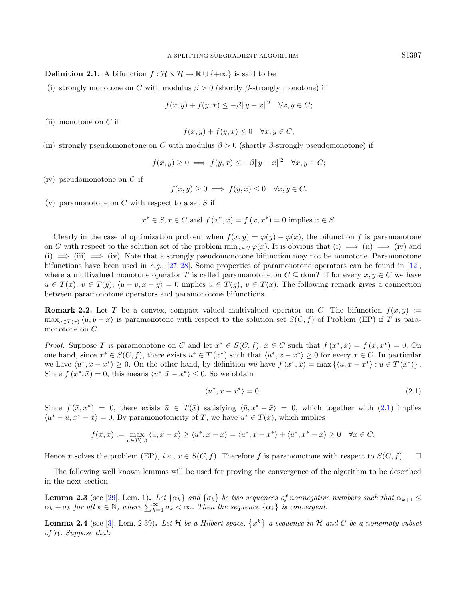#### **Definition 2.1.** A bifunction  $f : \mathcal{H} \times \mathcal{H} \to \mathbb{R} \cup \{+\infty\}$  is said to be

(i) strongly monotone on C with modulus  $\beta > 0$  (shortly  $\beta$ -strongly monotone) if

$$
f(x, y) + f(y, x) \le -\beta \|y - x\|^2 \quad \forall x, y \in C;
$$

(ii) monotone on  $C$  if

$$
f(x, y) + f(y, x) \le 0 \quad \forall x, y \in C;
$$

(iii) strongly pseudomonotone on C with modulus  $\beta > 0$  (shortly β-strongly pseudomonotone) if

$$
f(x,y) \ge 0 \implies f(y,x) \le -\beta \|y-x\|^2 \quad \forall x, y \in C;
$$

 $(iv)$  pseudomonotone on C if

<span id="page-2-0"></span>
$$
f(x, y) \ge 0 \implies f(y, x) \le 0 \quad \forall x, y \in C.
$$

(v) paramonotone on  $C$  with respect to a set  $S$  if

$$
x^* \in S, x \in C
$$
 and  $f(x^*, x) = f(x, x^*) = 0$  implies  $x \in S$ .

Clearly in the case of optimization problem when  $f(x, y) = \varphi(y) - \varphi(x)$ , the bifunction f is paramonotone on C with respect to the solution set of the problem  $\min_{x \in C} \varphi(x)$ . It is obvious that (i)  $\implies$  (ii)  $\implies$  (iv) and (i)  $\implies$  (iii)  $\implies$  (iv). Note that a strongly pseudomonotone bifunction may not be monotone. Paramonotone bifunctions have been used in e.g.,  $[27, 28]$  $[27, 28]$  $[27, 28]$ . Some properties of paramonotone operators can be found in [\[12\]](#page-15-13), where a multivalued monotone operator T is called paramonotone on  $C \subseteq \text{dom}T$  if for every  $x, y \in C$  we have  $u \in T(x), v \in T(y), \langle u - v, x - y \rangle = 0$  implies  $u \in T(y), v \in T(x)$ . The following remark gives a connection between paramonotone operators and paramonotone bifunctions.

**Remark 2.2.** Let T be a convex, compact valued multivalued operator on C. The bifunction  $f(x, y)$  :=  $\max_{u \in T(x)} \langle u, y - x \rangle$  is paramonotone with respect to the solution set  $S(C, f)$  of Problem (EP) if T is paramonotone on  $C$ .

*Proof.* Suppose T is paramonotone on C and let  $x^* \in S(C, f)$ ,  $\bar{x} \in C$  such that  $f(x^*, \bar{x}) = f(\bar{x}, x^*) = 0$ . On one hand, since  $x^* \in S(C, f)$ , there exists  $u^* \in T(x^*)$  such that  $\langle u^*, x - x^* \rangle \ge 0$  for every  $x \in C$ . In particular we have  $\langle u^*, \bar{x} - x^* \rangle \ge 0$ . On the other hand, by definition we have  $f(x^*, \bar{x}) = \max \{ \langle u, \bar{x} - x^* \rangle : u \in T(x^*) \}.$ Since  $f(x^*, \bar{x}) = 0$ , this means  $\langle u^*, \bar{x} - x^* \rangle \leq 0$ . So we obtain

$$
\langle u^*, \bar{x} - x^* \rangle = 0. \tag{2.1}
$$

Since  $f(\bar{x}, x^*) = 0$ , there exists  $\bar{u} \in T(\bar{x})$  satisfying  $\langle \bar{u}, x^* - \bar{x} \rangle = 0$ , which together with  $(2.1)$  implies  $\langle u^* - \bar{u}, x^* - \bar{x} \rangle = 0$ . By paramonotonicity of T, we have  $u^* \in T(\bar{x})$ , which implies

$$
f(\bar x, x):= \max_{u\in T(\bar x)}\left\langle u, x-\bar x\right\rangle\geq \left\langle u^*, x-\bar x\right\rangle= \left\langle u^*, x-x^*\right\rangle + \left\langle u^*, x^*-\bar x\right\rangle\geq 0 \quad \forall x\in C.
$$

Hence  $\bar{x}$  solves the problem (EP), i.e.,  $\bar{x} \in S(C, f)$ . Therefore f is paramonotone with respect to  $S(C, f)$ .  $\Box$ 

The following well known lemmas will be used for proving the convergence of the algorithm to be described in the next section.

<span id="page-2-1"></span>**Lemma 2.3** (see [\[29\]](#page-15-14), Lem. 1). Let  $\{\alpha_k\}$  and  $\{\sigma_k\}$  be two sequences of nonnegative numbers such that  $\alpha_{k+1} \leq$  $\alpha_k + \sigma_k$  for all  $k \in \mathbb{N}$ , where  $\sum_{k=1}^{\infty} \sigma_k < \infty$ . Then the sequence  $\{\alpha_k\}$  is convergent.

<span id="page-2-2"></span>**Lemma 2.4** (see [\[3\]](#page-14-7), Lem. 2.39). Let H be a Hilbert space,  $\{x^k\}$  a sequence in H and C be a nonempty subset of H. Suppose that: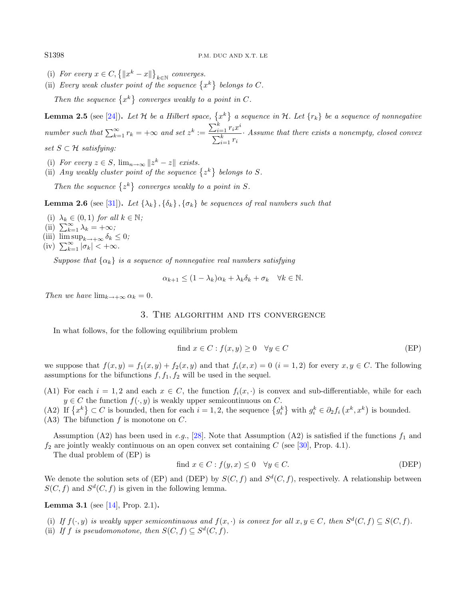- (i) For every  $x \in C$ ,  $\{||x^k x||\}_{k \in \mathbb{N}}$  converges.
- (ii) Every weak cluster point of the sequence  $\{x^k\}$  belongs to C.

Then the sequence  $\{x^k\}$  converges weakly to a point in C.

<span id="page-3-2"></span>**Lemma 2.5** (see [\[24\]](#page-15-15)). Let H be a Hilbert space,  $\{x^k\}$  a sequence in H. Let  $\{r_k\}$  be a sequence of nonnegative number such that  $\sum_{k=1}^{\infty} r_k = +\infty$  and set  $z^k := \frac{\sum_{i=1}^k r_i x^i}{\sum_{k=1}^k r_k}$  $\sum_{i=1}^k r_i$ · Assume that there exists a nonempty, closed convex set  $S \subset \mathcal{H}$  satisfying:

- (i) For every  $z \in S$ ,  $\lim_{n \to \infty} ||z^k z||$  exists.
- (ii) Any weakly cluster point of the sequence  $\{z^k\}$  belongs to S.

Then the sequence  $\{z^k\}$  converges weakly to a point in S.

<span id="page-3-1"></span>**Lemma 2.6** (see [\[31\]](#page-15-16)). Let  $\{\lambda_k\}, \{\delta_k\}, \{\sigma_k\}$  be sequences of real numbers such that

- (i)  $\lambda_k \in (0,1)$  for all  $k \in \mathbb{N}$ ;
- (ii)  $\sum_{k=1}^{\infty} \lambda_k = +\infty;$
- (iii)  $\limsup_{k \to +\infty} \delta_k \leq 0$ ;
- (iv)  $\sum_{k=1}^{\infty} |\sigma_k| < +\infty$ .

Suppose that  $\{\alpha_k\}$  is a sequence of nonnegative real numbers satisfying

$$
\alpha_{k+1} \le (1 - \lambda_k)\alpha_k + \lambda_k \delta_k + \sigma_k \quad \forall k \in \mathbb{N}.
$$

<span id="page-3-0"></span>Then we have  $\lim_{k\to+\infty} \alpha_k = 0$ .

# 3. The algorithm and its convergence

In what follows, for the following equilibrium problem

find 
$$
x \in C : f(x, y) \ge 0 \quad \forall y \in C
$$
 (EP)

we suppose that  $f(x, y) = f_1(x, y) + f_2(x, y)$  and that  $f_i(x, x) = 0$   $(i = 1, 2)$  for every  $x, y \in C$ . The following assumptions for the bifunctions  $f, f_1, f_2$  will be used in the sequel.

- (A1) For each  $i = 1, 2$  and each  $x \in C$ , the function  $f_i(x, \cdot)$  is convex and sub-differentiable, while for each  $y \in C$  the function  $f(\cdot, y)$  is weakly upper semicontinuous on C.
- (A2) If  $\{x^k\} \subset C$  is bounded, then for each  $i = 1, 2$ , the sequence  $\{g_i^k\}$  with  $g_i^k \in \partial_2 f_i(x^k, x^k)$  is bounded. (A3) The bifunction  $f$  is monotone on  $C$ .

Assumption (A2) has been used in e.g., [\[28\]](#page-15-12). Note that Assumption (A2) is satisfied if the functions  $f_1$  and  $f_2$  are jointly weakly continuous on an open convex set containing C (see [\[30\]](#page-15-17), Prop. 4.1).

The dual problem of (EP) is

find 
$$
x \in C : f(y, x) \le 0 \quad \forall y \in C.
$$
 (DEP)

We denote the solution sets of (EP) and (DEP) by  $S(C, f)$  and  $S<sup>d</sup>(C, f)$ , respectively. A relationship between  $S(C, f)$  and  $S<sup>d</sup>(C, f)$  is given in the following lemma.

**Lemma 3.1** (see [\[14\]](#page-15-18), Prop. 2.1).

(i) If  $f(\cdot, y)$  is weakly upper semicontinuous and  $f(x, \cdot)$  is convex for all  $x, y \in C$ , then  $S^d(C, f) \subseteq S(C, f)$ . (ii) If f is pseudomonotone, then  $S(C, f) \subseteq S^d(C, f)$ .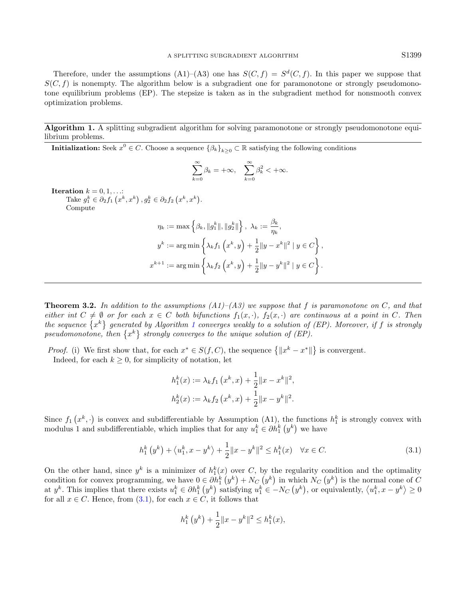Therefore, under the assumptions (A1)–(A3) one has  $S(C, f) = S<sup>d</sup>(C, f)$ . In this paper we suppose that  $S(C, f)$  is nonempty. The algorithm below is a subgradient one for paramonotone or strongly pseudomonotone equilibrium problems (EP). The stepsize is taken as in the subgradient method for nonsmooth convex optimization problems.

Algorithm 1. A splitting subgradient algorithm for solving paramonotone or strongly pseudomonotone equilibrium problems.

<span id="page-4-0"></span>**Initialization:** Seek  $x^0 \in C$ . Choose a sequence  $\{\beta_k\}_{k\geq 0} \subset \mathbb{R}$  satisfying the following conditions

$$
\sum_{k=0}^\infty \beta_k = +\infty, \quad \sum_{k=0}^\infty \beta_k^2 < +\infty.
$$

 ${\bf Iteration} \,\, k = 0, 1, \ldots$  $\text{atroll } k \equiv 0, 1, \ldots: \ \text{Take } g_1^k \in \partial_2 f_1\left(x^k, x^k\right), g_2^k \in \partial_2 f_2\left(x^k, x^k\right).$ Compute

$$
\eta_k := \max \left\{ \beta_k, \|g_1^k\|, \|g_2^k\| \right\}, \ \lambda_k := \frac{\beta_k}{\eta_k},
$$
  

$$
y^k := \arg \min \left\{ \lambda_k f_1 \left( x^k, y \right) + \frac{1}{2} \|y - x^k\|^2 \mid y \in C \right\},
$$
  

$$
x^{k+1} := \arg \min \left\{ \lambda_k f_2 \left( x^k, y \right) + \frac{1}{2} \|y - y^k\|^2 \mid y \in C \right\}.
$$

<span id="page-4-2"></span>**Theorem 3.2.** In addition to the assumptions  $(A1)$ – $(A3)$  we suppose that f is paramonotone on C, and that either int  $C \neq \emptyset$  or for each  $x \in C$  both bifunctions  $f_1(x, \cdot)$ ,  $f_2(x, \cdot)$  are continuous at a point in C. Then the sequence  $\{x^k\}$  generated by Algorithm [1](#page-4-0) converges weakly to a solution of (EP). Moreover, if f is strongly pseudomonotone, then  $\{x^k\}$  strongly converges to the unique solution of (EP).

*Proof.* (i) We first show that, for each  $x^* \in S(f, C)$ , the sequence  $\{||x^k - x^*||\}$  is convergent.

Indeed, for each  $k \geq 0$ , for simplicity of notation, let

<span id="page-4-1"></span>
$$
h_1^k(x) := \lambda_k f_1(x^k, x) + \frac{1}{2} ||x - x^k||^2,
$$
  

$$
h_2^k(x) := \lambda_k f_2(x^k, x) + \frac{1}{2} ||x - y^k||^2.
$$

Since  $f_1(x^k, \cdot)$  is convex and subdifferentiable by Assumption (A1), the functions  $h_1^k$  is strongly convex with modulus 1 and subdifferentiable, which implies that for any  $u_1^k \in \partial h_1^k(y^k)$  we have

$$
h_1^k(y^k) + \langle u_1^k, x - y^k \rangle + \frac{1}{2} \|x - y^k\|^2 \le h_1^k(x) \quad \forall x \in C.
$$
 (3.1)

On the other hand, since  $y^k$  is a minimizer of  $h_1^k(x)$  over C, by the regularity condition and the optimality condition for convex programming, we have  $0 \in \partial h_1^k(y^k) + N_C(y^k)$  in which  $N_C(y^k)$  is the normal cone of C at  $y^k$ . This implies that there exists  $u_1^k \in \partial h_1^k(y^k)$  satisfying  $u_1^k \in -N_C(y^k)$ , or equivalently,  $\langle u_1^k, x - y^k \rangle \ge 0$ for all  $x \in C$ . Hence, from [\(3.1\)](#page-4-1), for each  $x \in C$ , it follows that

$$
h_1^k(y^k) + \frac{1}{2}||x - y^k||^2 \le h_1^k(x),
$$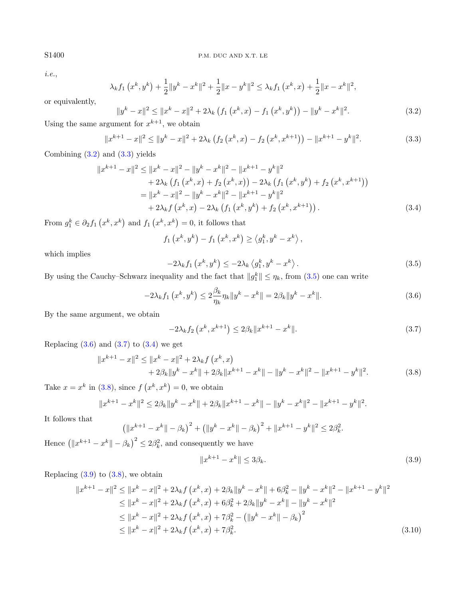i.e.,

<span id="page-5-1"></span>
$$
\lambda_k f_1(x^k, y^k) + \frac{1}{2} \|y^k - x^k\|^2 + \frac{1}{2} \|x - y^k\|^2 \leq \lambda_k f_1(x^k, x) + \frac{1}{2} \|x - x^k\|^2,
$$

or equivalently,

$$
||y^{k} - x||^{2} \le ||x^{k} - x||^{2} + 2\lambda_{k} \left(f_{1}\left(x^{k}, x\right) - f_{1}\left(x^{k}, y^{k}\right)\right) - ||y^{k} - x^{k}||^{2}.
$$
\n
$$
\text{(3.2)}
$$

Using the same argument for  $x^{k+1}$ , we obtain

<span id="page-5-2"></span>
$$
||x^{k+1} - x||^2 \le ||y^k - x||^2 + 2\lambda_k \left(f_2\left(x^k, x\right) - f_2\left(x^k, x^{k+1}\right)\right) - ||x^{k+1} - y^k||^2. \tag{3.3}
$$

Combining [\(3.2\)](#page-5-0) and [\(3.3\)](#page-5-1) yields

$$
||x^{k+1} - x||^2 \le ||x^k - x||^2 - ||y^k - x^k||^2 - ||x^{k+1} - y^k||^2
$$
  
+ 2\lambda\_k (f\_1 (x^k, x) + f\_2 (x^k, x)) - 2\lambda\_k (f\_1 (x^k, y^k) + f\_2 (x^k, x^{k+1}))  
= ||x^k - x||^2 - ||y^k - x^k||^2 - ||x^{k+1} - y^k||^2  
+ 2\lambda\_k f (x^k, x) - 2\lambda\_k (f\_1 (x^k, y^k) + f\_2 (x^k, x^{k+1})). \t(3.4)

From  $g_1^k \in \partial_2 f_1(x^k, x^k)$  and  $f_1(x^k, x^k) = 0$ , it follows that

<span id="page-5-5"></span><span id="page-5-4"></span><span id="page-5-3"></span>
$$
f_1(x^k, y^k) - f_1(x^k, x^k) \ge \langle g_1^k, y^k - x^k \rangle
$$

which implies

<span id="page-5-6"></span>
$$
-2\lambda_k f_1\left(x^k, y^k\right) \le -2\lambda_k \left\langle g_1^k, y^k - x^k \right\rangle. \tag{3.5}
$$

By using the Cauchy–Schwarz inequality and the fact that  $||g_1^k|| \leq \eta_k$ , from [\(3.5\)](#page-5-2) one can write

$$
-2\lambda_k f_1(x^k, y^k) \le 2\frac{\beta_k}{\eta_k} \eta_k \|y^k - x^k\| = 2\beta_k \|y^k - x^k\|.
$$
 (3.6)

By the same argument, we obtain

<span id="page-5-7"></span>
$$
-2\lambda_k f_2\left(x^k, x^{k+1}\right) \le 2\beta_k \|x^{k+1} - x^k\|.
$$
\n(3.7)

Replacing  $(3.6)$  and  $(3.7)$  to  $(3.4)$  we get

$$
||x^{k+1} - x||^2 \le ||x^k - x||^2 + 2\lambda_k f(x^k, x) + 2\beta_k ||y^k - x^k|| + 2\beta_k ||x^{k+1} - x^k|| - ||y^k - x^k||^2 - ||x^{k+1} - y^k||^2.
$$
 (3.8)

Take  $x = x^k$  in [\(3.8\)](#page-5-6), since  $f(x^k, x^k) = 0$ , we obtain

$$
||x^{k+1} - x^k||^2 \le 2\beta_k ||y^k - x^k|| + 2\beta_k ||x^{k+1} - x^k|| - ||y^k - x^k||^2 - ||x^{k+1} - y^k||^2.
$$

It follows that

$$
\left(\|x^{k+1} - x^k\| - \beta_k\right)^2 + \left(\|y^k - x^k\| - \beta_k\right)^2 + \|x^{k+1} - y^k\|^2 \le 2\beta_k^2.
$$

Hence  $(|x^{k+1} - x^k| - \beta_k)^2 \le 2\beta_k^2$ , and consequently we have

<span id="page-5-8"></span>
$$
||x^{k+1} - x^k|| \le 3\beta_k. \tag{3.9}
$$

Replacing  $(3.9)$  to  $(3.8)$ , we obtain

$$
||x^{k+1} - x||^2 \le ||x^k - x||^2 + 2\lambda_k f(x^k, x) + 2\beta_k ||y^k - x^k|| + 6\beta_k^2 - ||y^k - x^k||^2 - ||x^{k+1} - y^k||^2
$$
  
\n
$$
\le ||x^k - x||^2 + 2\lambda_k f(x^k, x) + 6\beta_k^2 + 2\beta_k ||y^k - x^k|| - ||y^k - x^k||^2
$$
  
\n
$$
\le ||x^k - x||^2 + 2\lambda_k f(x^k, x) + 7\beta_k^2 - (||y^k - x^k|| - \beta_k)^2
$$
  
\n
$$
\le ||x^k - x||^2 + 2\lambda_k f(x^k, x) + 7\beta_k^2.
$$
\n(3.10)

<span id="page-5-0"></span>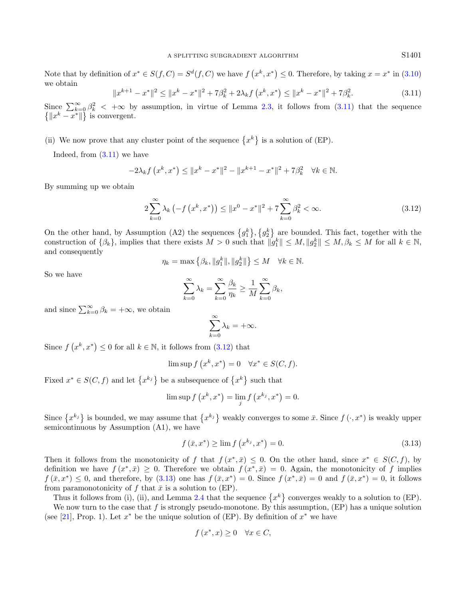<span id="page-6-0"></span>Note that by definition of  $x^* \in S(f, C) = S^d(f, C)$  we have  $f(x^k, x^*) \leq 0$ . Therefore, by taking  $x = x^*$  in [\(3.10\)](#page-5-8) we obtain

<span id="page-6-1"></span>
$$
||x^{k+1} - x^*||^2 \le ||x^k - x^*||^2 + 7\beta_k^2 + 2\lambda_k f(x^k, x^*) \le ||x^k - x^*||^2 + 7\beta_k^2. \tag{3.11}
$$

Since  $\sum_{k=0}^{\infty} \beta_k^2$  <  $+\infty$  by assumption, in virtue of Lemma [2.3,](#page-2-1) it follows from [\(3.11\)](#page-6-0) that the sequence  $\{||x^k - x^*||\}$  is convergent.

# (ii) We now prove that any cluster point of the sequence  $\{x^k\}$  is a solution of (EP).

Indeed, from [\(3.11\)](#page-6-0) we have

$$
-2\lambda_k f\left(x^k, x^*\right) \le ||x^k - x^*||^2 - ||x^{k+1} - x^*||^2 + 7\beta_k^2 \quad \forall k \in \mathbb{N}.
$$

By summing up we obtain

$$
2\sum_{k=0}^{\infty} \lambda_k \left(-f\left(x^k, x^*\right)\right) \le ||x^0 - x^*||^2 + 7\sum_{k=0}^{\infty} \beta_k^2 < \infty. \tag{3.12}
$$

On the other hand, by Assumption (A2) the sequences  $\{g_1^k\}, \{g_2^k\}$  are bounded. This fact, together with the construction of  $\{\beta_k\}$ , implies that there exists  $M > 0$  such that  $||g_1^k|| \leq M, ||g_2^k|| \leq M, \beta_k \leq M$  for all  $k \in \mathbb{N}$ , and consequently

$$
\eta_k = \max\left\{\beta_k, \|g_1^k\|, \|g_2^k\|\right\} \le M \quad \forall k \in \mathbb{N}.
$$

So we have

$$
\sum_{k=0}^{\infty} \lambda_k = \sum_{k=0}^{\infty} \frac{\beta_k}{\eta_k} \ge \frac{1}{M} \sum_{k=0}^{\infty} \beta_k,
$$

and since  $\sum_{k=0}^{\infty} \beta_k = +\infty$ , we obtain

<span id="page-6-2"></span>
$$
\sum_{k=0}^{\infty} \lambda_k = +\infty.
$$

Since  $f(x^k, x^*) \leq 0$  for all  $k \in \mathbb{N}$ , it follows from  $(3.12)$  that

$$
\limsup f(x^k, x^*) = 0 \quad \forall x^* \in S(C, f).
$$

Fixed  $x^* \in S(C, f)$  and let  $\{x^{k_j}\}\)$  be a subsequence of  $\{x^k\}$  such that

$$
\limsup f(x^k, x^*) = \lim_{j} f(x^{k_j}, x^*) = 0.
$$

Since  $\{x^{k_j}\}\$ is bounded, we may assume that  $\{x^{k_j}\}\$  weakly converges to some  $\bar{x}$ . Since  $f(\cdot, x^*)$  is weakly upper semicontinuous by Assumption (A1), we have

$$
f(\bar{x}, x^*) \ge \lim_{h \to 0} f(x^{k_j}, x^*) = 0. \tag{3.13}
$$

Then it follows from the monotonicity of f that  $f(x^*, \bar{x}) \leq 0$ . On the other hand, since  $x^* \in S(C, f)$ , by definition we have  $f(x^*, \bar{x}) \geq 0$ . Therefore we obtain  $f(x^*, \bar{x}) = 0$ . Again, the monotonicity of f implies  $f(\bar{x},x^*) \leq 0$ , and therefore, by  $(3.13)$  one has  $f(\bar{x},x^*) = 0$ . Since  $f(x^*,\bar{x}) = 0$  and  $f(\bar{x},x^*) = 0$ , it follows from paramonotonicity of f that  $\bar{x}$  is a solution to (EP).

Thus it follows from (i), (ii), and Lemma [2.4](#page-2-2) that the sequence  $\{x^k\}$  converges weakly to a solution to (EP). We now turn to the case that f is strongly pseudo-monotone. By this assumption,  $(EP)$  has a unique solution (see [\[21\]](#page-15-19), Prop. 1). Let  $x^*$  be the unique solution of (EP). By definition of  $x^*$  we have

$$
f(x^*, x) \ge 0 \quad \forall x \in C,
$$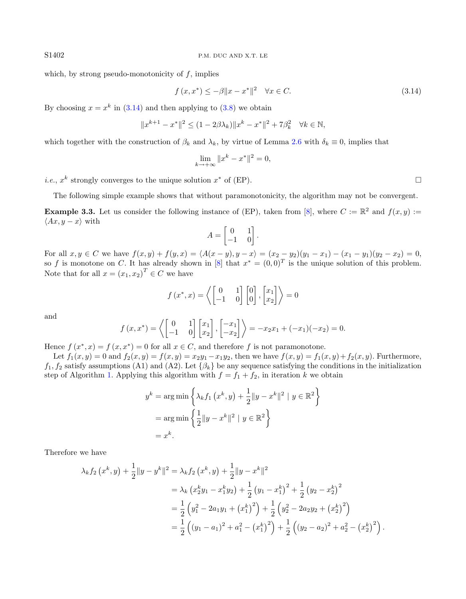which, by strong pseudo-monotonicity of  $f$ , implies

<span id="page-7-0"></span>
$$
f(x, x^*) \le -\beta \|x - x^*\|^2 \quad \forall x \in C. \tag{3.14}
$$

By choosing  $x = x^k$  in [\(3.14\)](#page-7-0) and then applying to [\(3.8\)](#page-5-6) we obtain

$$
||x^{k+1} - x^*||^2 \le (1 - 2\beta \lambda_k) ||x^k - x^*||^2 + 7\beta_k^2 \quad \forall k \in \mathbb{N},
$$

which together with the construction of  $\beta_k$  and  $\lambda_k$ , by virtue of Lemma [2.6](#page-3-1) with  $\delta_k \equiv 0$ , implies that

$$
\lim_{k \to +\infty} \|x^k - x^*\|^2 = 0,
$$

*i.e.*,  $x^k$  strongly converges to the unique solution  $x^*$  of (EP).

The following simple example shows that without paramonotonicity, the algorithm may not be convergent.

**Example 3.3.** Let us consider the following instance of (EP), taken from [\[8\]](#page-14-8), where  $C := \mathbb{R}^2$  and  $f(x, y) :=$  $\langle Ax, y - x \rangle$  with

$$
A = \begin{bmatrix} 0 & 1 \\ -1 & 0 \end{bmatrix}.
$$

For all  $x, y \in C$  we have  $f(x, y) + f(y, x) = \langle A(x - y), y - x \rangle = (x_2 - y_2)(y_1 - x_1) - (x_1 - y_1)(y_2 - x_2) = 0$ , so f is monotone on C. It has already shown in [\[8\]](#page-14-8) that  $x^* = (0,0)^T$  is the unique solution of this problem. Note that for all  $x = (x_1, x_2)^T \in C$  we have

$$
f(x^*, x) = \left\langle \begin{bmatrix} 0 & 1 \\ -1 & 0 \end{bmatrix} \begin{bmatrix} 0 \\ 0 \end{bmatrix}, \begin{bmatrix} x_1 \\ x_2 \end{bmatrix} \right\rangle = 0
$$

and

$$
f(x,x^*) = \left\langle \begin{bmatrix} 0 & 1 \\ -1 & 0 \end{bmatrix} \begin{bmatrix} x_1 \\ x_2 \end{bmatrix}, \begin{bmatrix} -x_1 \\ -x_2 \end{bmatrix} \right\rangle = -x_2x_1 + (-x_1)(-x_2) = 0.
$$

Hence  $f(x^*, x) = f(x, x^*) = 0$  for all  $x \in C$ , and therefore f is not paramonotone.

Let  $f_1(x, y) = 0$  and  $f_2(x, y) = f(x, y) = x_2y_1 - x_1y_2$ , then we have  $f(x, y) = f_1(x, y) + f_2(x, y)$ . Furthermore,  $f_1, f_2$  satisfy assumptions (A1) and (A2). Let  $\{\beta_k\}$  be any sequence satisfying the conditions in the initialization step of Algorithm [1.](#page-4-0) Applying this algorithm with  $f = f_1 + f_2$ , in iteration k we obtain

$$
y^{k} = \arg\min \left\{ \lambda_{k} f_{1} (x^{k}, y) + \frac{1}{2} ||y - x^{k}||^{2} \mid y \in \mathbb{R}^{2} \right\}
$$

$$
= \arg\min \left\{ \frac{1}{2} ||y - x^{k}||^{2} \mid y \in \mathbb{R}^{2} \right\}
$$

$$
= x^{k}.
$$

Therefore we have

$$
\lambda_k f_2(x^k, y) + \frac{1}{2} \|y - y^k\|^2 = \lambda_k f_2(x^k, y) + \frac{1}{2} \|y - x^k\|^2
$$
  
\n
$$
= \lambda_k (x_2^k y_1 - x_1^k y_2) + \frac{1}{2} (y_1 - x_1^k)^2 + \frac{1}{2} (y_2 - x_2^k)^2
$$
  
\n
$$
= \frac{1}{2} (y_1^2 - 2a_1 y_1 + (x_1^k)^2) + \frac{1}{2} (y_2^2 - 2a_2 y_2 + (x_2^k)^2)
$$
  
\n
$$
= \frac{1}{2} ((y_1 - a_1)^2 + a_1^2 - (x_1^k)^2) + \frac{1}{2} ((y_2 - a_2)^2 + a_2^2 - (x_2^k)^2).
$$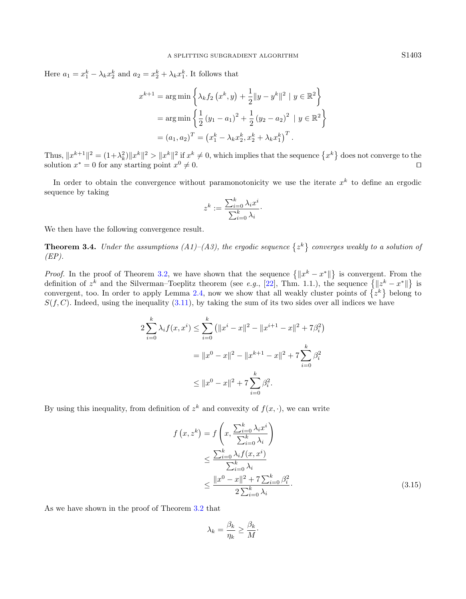Here  $a_1 = x_1^k - \lambda_k x_2^k$  and  $a_2 = x_2^k + \lambda_k x_1^k$ . It follows that

$$
x^{k+1} = \arg\min\left\{\lambda_k f_2(x^k, y) + \frac{1}{2}||y - y^k||^2 \mid y \in \mathbb{R}^2\right\}
$$

$$
= \arg\min\left\{\frac{1}{2}(y_1 - a_1)^2 + \frac{1}{2}(y_2 - a_2)^2 \mid y \in \mathbb{R}^2\right\}
$$

$$
= (a_1, a_2)^T = (x_1^k - \lambda_k x_2^k, x_2^k + \lambda_k x_1^k)^T.
$$

Thus,  $||x^{k+1}||^2 = (1+\lambda_k^2)||x^k||^2 > ||x^k||^2$  if  $x^k \neq 0$ , which implies that the sequence  $\{x^k\}$  does not converge to the solution  $x^* = 0$  for any starting point  $x^0 \neq 0$ .

In order to obtain the convergence without paramonotonicity we use the iterate  $x^k$  to define an ergodic sequence by taking

$$
z^k := \frac{\sum_{i=0}^k \lambda_i x^i}{\sum_{i=0}^k \lambda_i}.
$$

<span id="page-8-1"></span>We then have the following convergence result.

**Theorem 3.4.** Under the assumptions  $(A1)$ – $(A3)$ , the ergodic sequence  $\{z^k\}$  converges weakly to a solution of  $(EP)$ .

*Proof.* In the proof of Theorem [3.2,](#page-4-2) we have shown that the sequence  $\{||x^k - x^*||\}$  is convergent. From the definition of  $z^k$  and the Silverman–Toeplitz theorem (see e.g., [\[22\]](#page-15-20), Thm. 1.1.), the sequence  $\{\Vert z^k - x^* \Vert\}$  is convergent, too. In order to apply Lemma [2.4,](#page-2-2) now we show that all weakly cluster points of  $\{z^k\}$  belong to  $S(f, C)$ . Indeed, using the inequality [\(3.11\)](#page-6-0), by taking the sum of its two sides over all indices we have

$$
2\sum_{i=0}^{k} \lambda_i f(x, x^i) \le \sum_{i=0}^{k} \left( \|x^i - x\|^2 - \|x^{i+1} - x\|^2 + 7\beta_i^2 \right)
$$

$$
= \|x^0 - x\|^2 - \|x^{k+1} - x\|^2 + 7\sum_{i=0}^{k} \beta_i^2
$$

$$
\le \|x^0 - x\|^2 + 7\sum_{i=0}^{k} \beta_i^2.
$$

By using this inequality, from definition of  $z^k$  and convexity of  $f(x, \cdot)$ , we can write

<span id="page-8-0"></span>
$$
f(x, z^k) = f\left(x, \frac{\sum_{i=0}^k \lambda_i x^i}{\sum_{i=0}^k \lambda_i}\right)
$$
  

$$
\leq \frac{\sum_{i=0}^k \lambda_i f(x, x^i)}{\sum_{i=0}^k \lambda_i}
$$
  

$$
\leq \frac{||x^0 - x||^2 + 7\sum_{i=0}^k \beta_i^2}{2\sum_{i=0}^k \lambda_i}.
$$
 (3.15)

As we have shown in the proof of Theorem [3.2](#page-4-2) that

$$
\lambda_k = \frac{\beta_k}{\eta_k} \ge \frac{\beta_k}{M} \cdot
$$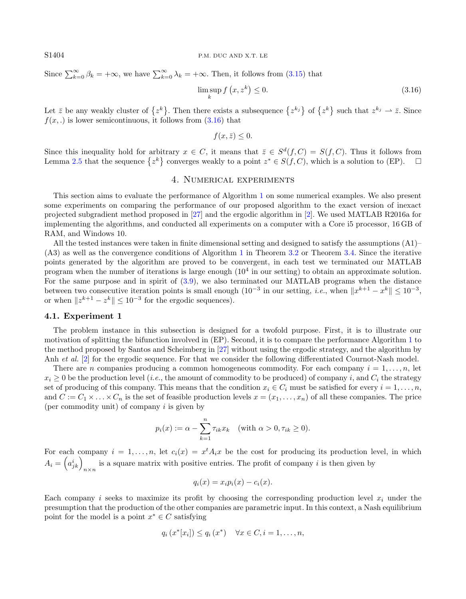S1404 P.M. DUC AND X.T. LE

Since  $\sum_{k=0}^{\infty} \beta_k = +\infty$ , we have  $\sum_{k=0}^{\infty} \lambda_k = +\infty$ . Then, it follows from [\(3.15\)](#page-8-0) that

<span id="page-9-1"></span>
$$
\limsup_{k} f(x, z^k) \le 0. \tag{3.16}
$$

Let  $\bar{z}$  be any weakly cluster of  $\{z^k\}$ . Then there exists a subsequence  $\{z^{k_j}\}$  of  $\{z^k\}$  such that  $z^{k_j} \to \bar{z}$ . Since  $f(x,.)$  is lower semicontinuous, it follows from  $(3.16)$  that

$$
f(x,\bar{z}) \leq 0.
$$

Since this inequality hold for arbitrary  $x \in C$ , it means that  $\overline{z} \in S^d(f, C) = S(f, C)$ . Thus it follows from Lemma [2.5](#page-3-2) that the sequence  $\{z^k\}$  converges weakly to a point  $z^* \in S(f, C)$ , which is a solution to (EP).  $\square$ 

# 4. Numerical experiments

<span id="page-9-0"></span>This section aims to evaluate the performance of Algorithm [1](#page-4-0) on some numerical examples. We also present some experiments on comparing the performance of our proposed algorithm to the exact version of inexact projected subgradient method proposed in [\[27\]](#page-15-8) and the ergodic algorithm in [\[2\]](#page-14-4). We used MATLAB R2016a for implementing the algorithms, and conducted all experiments on a computer with a Core i5 processor, 16 GB of RAM, and Windows 10.

All the tested instances were taken in finite dimensional setting and designed to satisfy the assumptions (A1)– (A3) as well as the convergence conditions of Algorithm [1](#page-4-0) in Theorem [3.2](#page-4-2) or Theorem [3.4.](#page-8-1) Since the iterative points generated by the algorithm are proved to be convergent, in each test we terminated our MATLAB program when the number of iterations is large enough (10<sup>4</sup> in our setting) to obtain an approximate solution. For the same purpose and in spirit of [\(3.9\)](#page-5-7), we also terminated our MATLAB programs when the distance between two consecutive iteration points is small enough  $(10^{-3}$  in our setting, *i.e.*, when  $||x^{k+1} - x^k|| \le 10^{-3}$ , or when  $||z^{k+1} - z^k|| \leq 10^{-3}$  for the ergodic sequences).

#### 4.1. Experiment 1

The problem instance in this subsection is designed for a twofold purpose. First, it is to illustrate our motivation of splitting the bifunction involved in (EP). Second, it is to compare the performance Algorithm [1](#page-4-0) to the method proposed by Santos and Scheimberg in [\[27\]](#page-15-8) without using the ergodic strategy, and the algorithm by Anh *et al.* [\[2\]](#page-14-4) for the ergodic sequence. For that we consider the following differentiated Cournot-Nash model.

There are n companies producing a common homogeneous commodity. For each company  $i = 1, \ldots, n$ , let  $x_i \geq 0$  be the production level (*i.e.*, the amount of commodity to be produced) of company *i*, and  $C_i$  the strategy set of producing of this company. This means that the condition  $x_i \in C_i$  must be satisfied for every  $i = 1, \ldots, n$ , and  $C := C_1 \times \ldots \times C_n$  is the set of feasible production levels  $x = (x_1, \ldots, x_n)$  of all these companies. The price (per commodity unit) of company  $i$  is given by

$$
p_i(x) := \alpha - \sum_{k=1}^n \tau_{ik} x_k \quad \text{(with } \alpha > 0, \tau_{ik} \ge 0\text{)}.
$$

For each company  $i = 1, ..., n$ , let  $c_i(x) = x^t A_i x$  be the cost for producing its production level, in which  $A_i = \left(a_{jk}^i\right)_{n \times n}$  is a square matrix with positive entries. The profit of company i is then given by

$$
q_i(x) = x_i p_i(x) - c_i(x).
$$

Each company i seeks to maximize its profit by choosing the corresponding production level  $x_i$  under the presumption that the production of the other companies are parametric input. In this context, a Nash equilibrium point for the model is a point  $x^* \in C$  satisfying

$$
q_i(x^*[x_i]) \le q_i(x^*) \quad \forall x \in C, i = 1, ..., n,
$$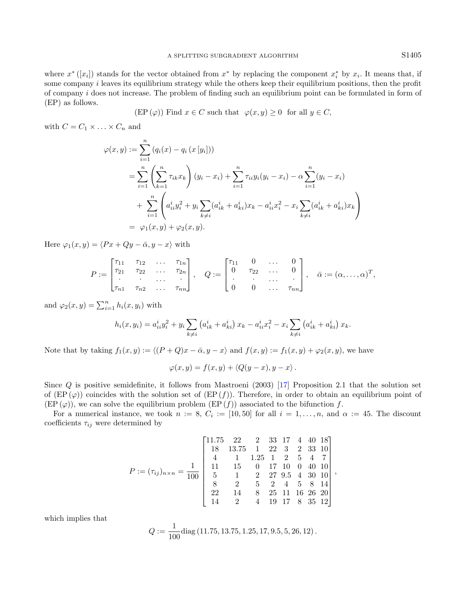where  $x^*([x_i])$  stands for the vector obtained from  $x^*$  by replacing the component  $x_i^*$  by  $x_i$ . It means that, if some company  $i$  leaves its equilibrium strategy while the others keep their equilibrium positions, then the profit of company i does not increase. The problem of finding such an equilibrium point can be formulated in form of (EP) as follows.

$$
(EP(\varphi))
$$
 Find  $x \in C$  such that  $\varphi(x, y) \ge 0$  for all  $y \in C$ ,

with  $C = C_1 \times \ldots \times C_n$  and

$$
\varphi(x, y) := \sum_{i=1}^{n} (q_i(x) - q_i (x [y_i]))
$$
  
= 
$$
\sum_{i=1}^{n} \left( \sum_{k=1}^{n} \tau_{ik} x_k \right) (y_i - x_i) + \sum_{i=1}^{n} \tau_{ii} y_i (y_i - x_i) - \alpha \sum_{i=1}^{n} (y_i - x_i)
$$
  
+ 
$$
\sum_{i=1}^{n} \left( a_{ii}^i y_i^2 + y_i \sum_{k \neq i} (a_{ik}^i + a_{ki}^i) x_k - a_{ii}^i x_i^2 - x_i \sum_{k \neq i} (a_{ik}^i + a_{ki}^i) x_k \right)
$$
  
= 
$$
\varphi_1(x, y) + \varphi_2(x, y).
$$

Here  $\varphi_1(x, y) = \langle Px + Qy - \bar{\alpha}, y - x \rangle$  with

$$
P := \begin{bmatrix} \tau_{11} & \tau_{12} & \dots & \tau_{1n} \\ \tau_{21} & \tau_{22} & \dots & \tau_{2n} \\ \vdots & \vdots & \ddots & \vdots \\ \tau_{n1} & \tau_{n2} & \dots & \tau_{nn} \end{bmatrix}, \quad Q := \begin{bmatrix} \tau_{11} & 0 & \dots & 0 \\ 0 & \tau_{22} & \dots & 0 \\ \vdots & \vdots & \ddots & \vdots \\ 0 & 0 & \dots & \tau_{nn} \end{bmatrix}, \quad \bar{\alpha} := (\alpha, \dots, \alpha)^T,
$$

and  $\varphi_2(x, y) = \sum_{i=1}^n h_i(x, y_i)$  with

$$
h_i(x, y_i) = a_{ii}^i y_i^2 + y_i \sum_{k \neq i} \left( a_{ik}^i + a_{ki}^i \right) x_k - a_{ii}^i x_i^2 - x_i \sum_{k \neq i} \left( a_{ik}^i + a_{ki}^i \right) x_k.
$$

Note that by taking  $f_1(x, y) := \langle (P + Q)x - \bar{\alpha}, y - x \rangle$  and  $f(x, y) := f_1(x, y) + \varphi_2(x, y)$ , we have

$$
\varphi(x,y) = f(x,y) + \langle Q(y-x), y-x \rangle.
$$

Since Q is positive semidefinite, it follows from Mastroeni (2003) [\[17\]](#page-15-21) Proposition 2.1 that the solution set of  $(EP(\varphi))$  coincides with the solution set of  $(EP(f))$ . Therefore, in order to obtain an equilibrium point of  $(EP(\varphi))$ , we can solve the equilibrium problem  $(EP(f))$  associated to the bifunction f.

For a numerical instance, we took  $n := 8$ ,  $C_i := [10, 50]$  for all  $i = 1, ..., n$ , and  $\alpha := 45$ . The discount coefficients  $\tau_{ij}$  were determined by

$$
P := (\tau_{ij})_{n \times n} = \frac{1}{100} \begin{bmatrix} 11.75 & 22 & 2 & 33 & 17 & 4 & 40 & 18 \\ 18 & 13.75 & 1 & 22 & 3 & 2 & 33 & 10 \\ 4 & 1 & 1.25 & 1 & 2 & 5 & 4 & 7 \\ 11 & 15 & 0 & 17 & 10 & 0 & 40 & 10 \\ 5 & 1 & 2 & 27 & 9.5 & 4 & 30 & 10 \\ 8 & 2 & 5 & 2 & 4 & 5 & 8 & 14 \\ 22 & 14 & 8 & 25 & 11 & 16 & 26 & 20 \\ 14 & 2 & 4 & 19 & 17 & 8 & 35 & 12 \end{bmatrix},
$$

which implies that

$$
Q := \frac{1}{100} \text{diag} (11.75, 13.75, 1.25, 17, 9.5, 5, 26, 12).
$$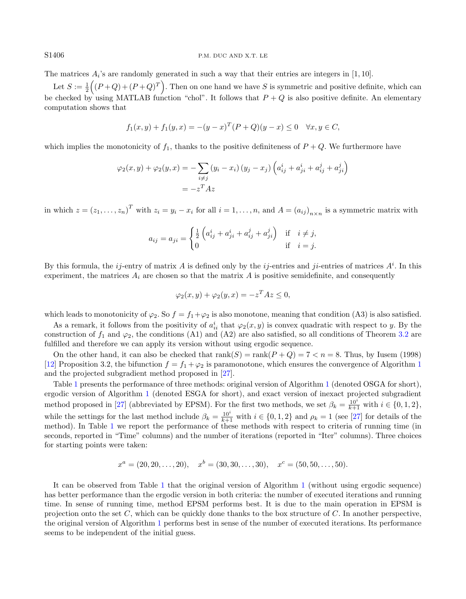#### S1406 P.M. DUC AND X.T. LE

The matrices  $A_i$ 's are randomly generated in such a way that their entries are integers in [1, 10].

Let  $S := \frac{1}{2}((P+Q)+(P+Q)^T)$ . Then on one hand we have S is symmetric and positive definite, which can be checked by using MATLAB function "chol". It follows that  $P + Q$  is also positive definite. An elementary computation shows that

$$
f_1(x, y) + f_1(y, x) = -(y - x)^T (P + Q)(y - x) \le 0 \quad \forall x, y \in C,
$$

which implies the monotonicity of  $f_1$ , thanks to the positive definiteness of  $P+Q$ . We furthermore have

$$
\varphi_2(x, y) + \varphi_2(y, x) = -\sum_{i \neq j} (y_i - x_i) (y_j - x_j) \left( a_{ij}^i + a_{ji}^i + a_{ij}^j + a_{ji}^j \right)
$$
  
=  $-z^T Az$ 

in which  $z = (z_1, \ldots, z_n)^T$  with  $z_i = y_i - x_i$  for all  $i = 1, \ldots, n$ , and  $A = (a_{ij})_{n \times n}$  is a symmetric matrix with

$$
a_{ij} = a_{ji} = \begin{cases} \frac{1}{2} \left( a_{ij}^i + a_{ji}^i + a_{ij}^j + a_{ji}^j \right) & \text{if } i \neq j, \\ 0 & \text{if } i = j. \end{cases}
$$

By this formula, the *ij*-entry of matrix A is defined only by the *ij*-entries and *ji*-entries of matrices  $A^i$ . In this experiment, the matrices  $A_i$  are chosen so that the matrix  $A$  is positive semidefinite, and consequently

$$
\varphi_2(x, y) + \varphi_2(y, x) = -z^T A z \le 0,
$$

which leads to monotonicity of  $\varphi_2$ . So  $f = f_1 + \varphi_2$  is also monotone, meaning that condition (A3) is also satisfied.

As a remark, it follows from the positivity of  $a_{ii}^i$  that  $\varphi_2(x, y)$  is convex quadratic with respect to y. By the construction of  $f_1$  and  $\varphi_2$ , the conditions (A1) and (A2) are also satisfied, so all conditions of Theorem [3.2](#page-4-2) are fulfilled and therefore we can apply its version without using ergodic sequence.

On the other hand, it can also be checked that  $rank(S) = rank(P + Q) = 7 < n = 8$ . Thus, by Iusem (1998) [\[12\]](#page-15-13) Proposition 3.2, the bifunction  $f = f_1 + \varphi_2$  $f = f_1 + \varphi_2$  $f = f_1 + \varphi_2$  is paramonotone, which ensures the convergence of Algorithm 1 and the projected subgradient method proposed in [\[27\]](#page-15-8).

Table [1](#page-12-0) presents the performance of three methods: original version of Algorithm [1](#page-4-0) (denoted OSGA for short), ergodic version of Algorithm [1](#page-4-0) (denoted ESGA for short), and exact version of inexact projected subgradient method proposed in [\[27\]](#page-15-8) (abbreviated by EPSM). For the first two methods, we set  $\beta_k = \frac{10^i}{k+1}$  with  $i \in \{0, 1, 2\}$ , while the settings for the last method include  $\beta_k = \frac{10^i}{k+1}$  with  $i \in \{0, 1, 2\}$  and  $\rho_k = 1$  (see [\[27\]](#page-15-8) for details of the method). In Table [1](#page-12-0) we report the performance of these methods with respect to criteria of running time (in seconds, reported in "Time" columns) and the number of iterations (reported in "Iter" columns). Three choices for starting points were taken:

$$
x^a = (20, 20, \dots, 20), \quad x^b = (30, 30, \dots, 30), \quad x^c = (50, 50, \dots, 50).
$$

It can be observed from Table [1](#page-12-0) that the original version of Algorithm [1](#page-4-0) (without using ergodic sequence) has better performance than the ergodic version in both criteria: the number of executed iterations and running time. In sense of running time, method EPSM performs best. It is due to the main operation in EPSM is projection onto the set C, which can be quickly done thanks to the box structure of C. In another perspective, the original version of Algorithm [1](#page-4-0) performs best in sense of the number of executed iterations. Its performance seems to be independent of the initial guess.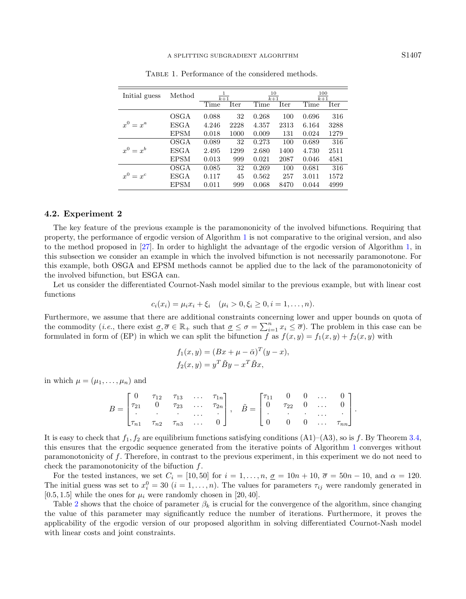<span id="page-12-0"></span>

| Initial guess | Method             | $\overline{k+1}$ |      | $\frac{10}{k+1}$ |      | $\frac{100}{k+1}$ |      |
|---------------|--------------------|------------------|------|------------------|------|-------------------|------|
|               |                    | Time             | Iter | Time             | Iter | Time              | Iter |
| $x^0 = x^a$   | OSGA               | 0.088            | 32   | 0.268            | 100  | 0.696             | 316  |
|               | ESGA               | 4.246            | 2228 | 4.357            | 2313 | 6.164             | 3288 |
|               | <b>EPSM</b>        | 0.018            | 1000 | 0.009            | 131  | 0.024             | 1279 |
|               | OSGA               | 0.089            | 32   | 0.273            | 100  | 0.689             | 316  |
| $x^0 = x^b$   | ESGA               | 2.495            | 1299 | 2.680            | 1400 | 4.730             | 2511 |
|               | <b>EPSM</b>        | 0.013            | 999  | 0.021            | 2087 | 0.046             | 4581 |
|               | <b>OSGA</b>        | 0.085            | 32   | 0.269            | 100  | 0.681             | 316  |
| $r^0 = r^c$   | $_{\mathrm{ESGA}}$ | 0.117            | 45   | 0.562            | 257  | 3.011             | 1572 |
|               | EPSM               | 0.011            | 999  | 0.068            | 8470 | 0.044             | 4999 |

Table 1. Performance of the considered methods.

#### 4.2. Experiment 2

The key feature of the previous example is the paramononicity of the involved bifunctions. Requiring that property, the performance of ergodic version of Algorithm [1](#page-4-0) is not comparative to the original version, and also to the method proposed in [\[27\]](#page-15-8). In order to highlight the advantage of the ergodic version of Algorithm [1,](#page-4-0) in this subsection we consider an example in which the involved bifunction is not necessarily paramonotone. For this example, both OSGA and EPSM methods cannot be applied due to the lack of the paramonotonicity of the involved bifunction, but ESGA can.

Let us consider the differentiated Cournot-Nash model similar to the previous example, but with linear cost functions

$$
c_i(x_i) = \mu_i x_i + \xi_i \quad (\mu_i > 0, \xi_i \ge 0, i = 1, \dots, n).
$$

Furthermore, we assume that there are additional constraints concerning lower and upper bounds on quota of the commodity (*i.e.*, there exist  $\underline{\sigma}, \overline{\sigma} \in \mathbb{R}_+$  such that  $\underline{\sigma} \leq \sigma = \sum_{i=1}^n x_i \leq \overline{\sigma}$ ). The problem in this case can be formulated in form of (EP) in which we can split the bifunction f as  $f(x, y) = f_1(x, y) + f_2(x, y)$  with

$$
f_1(x, y) = (Bx + \mu - \bar{\alpha})^T (y - x),
$$
  

$$
f_2(x, y) = y^T \tilde{B}y - x^T \tilde{B}x,
$$

in which  $\mu = (\mu_1, \ldots, \mu_n)$  and

$$
B = \begin{bmatrix} 0 & \tau_{12} & \tau_{13} & \dots & \tau_{1n} \\ \tau_{21} & 0 & \tau_{23} & \dots & \tau_{2n} \\ \vdots & \vdots & \ddots & \vdots & \vdots \\ \tau_{n1} & \tau_{n2} & \tau_{n3} & \dots & 0 \end{bmatrix}, \quad \tilde{B} = \begin{bmatrix} \tau_{11} & 0 & 0 & \dots & 0 \\ 0 & \tau_{22} & 0 & \dots & 0 \\ \vdots & \vdots & \ddots & \vdots & \vdots \\ 0 & 0 & 0 & \dots & \tau_{nn} \end{bmatrix}.
$$

It is easy to check that  $f_1, f_2$  are equilibrium functions satisfying conditions (A1)–(A3), so is f. By Theorem [3.4,](#page-8-1) this ensures that the ergodic sequence generated from the iterative points of Algorithm [1](#page-4-0) converges without paramonotonicity of f. Therefore, in contrast to the previous experiment, in this experiment we do not need to check the paramonotonicity of the bifuction f.

For the tested instances, we set  $C_i = [10, 50]$  for  $i = 1, \ldots, n$ ,  $\underline{\sigma} = 10n + 10$ ,  $\overline{\sigma} = 50n - 10$ , and  $\alpha = 120$ . The initial guess was set to  $x_i^0 = 30$   $(i = 1, ..., n)$ . The values for parameters  $\tau_{ij}$  were randomly generated in [0.5, 1.5] while the ones for  $\mu_i$  were randomly chosen in [20, 40].

Table [2](#page-13-0) shows that the choice of parameter  $\beta_k$  is crucial for the convergence of the algorithm, since changing the value of this parameter may significantly reduce the number of iterations. Furthermore, it proves the applicability of the ergodic version of our proposed algorithm in solving differentiated Cournot-Nash model with linear costs and joint constraints.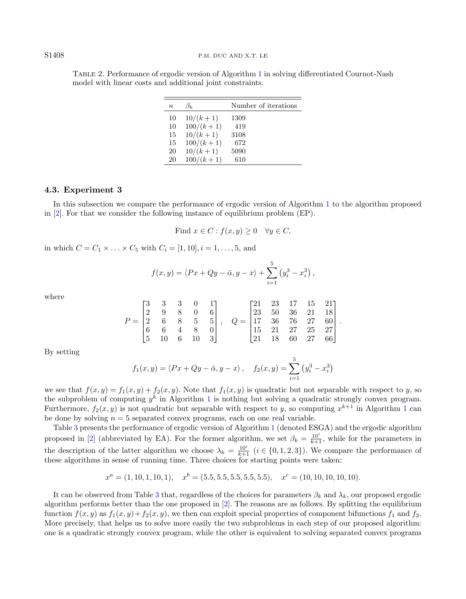| $\, n$ | $\beta_k$   | Number of iterations |
|--------|-------------|----------------------|
| 10     | $10/(k+1)$  | 1309                 |
| 10     | $100/(k+1)$ | 419                  |
| 15     | $10/(k+1)$  | 3108                 |
| 15     | $100/(k+1)$ | 672                  |
| 20     | $10/(k+1)$  | 5090                 |
| 20     | $100/(k+1)$ | 610                  |

<span id="page-13-0"></span>Table 2. Performance of ergodic version of Algorithm [1](#page-4-0) in solving differentiated Cournot-Nash model with linear costs and additional joint constraints.

#### 4.3. Experiment 3

In this subsection we compare the performance of ergodic version of Algorithm [1](#page-4-0) to the algorithm proposed in [\[2\]](#page-14-4). For that we consider the following instance of equilibrium problem (EP).

Find 
$$
x \in C
$$
:  $f(x, y) \ge 0 \quad \forall y \in C$ ,

in which  $C = C_1 \times ... \times C_5$  with  $C_i = [1, 10], i = 1, ..., 5$ , and

$$
f(x,y) = \langle Px + Qy - \bar{\alpha}, y - x \rangle + \sum_{i=1}^{5} (y_i^3 - x_i^3),
$$

where

$$
P = \begin{bmatrix} 3 & 3 & 3 & 0 & 1 \\ 2 & 9 & 8 & 0 & 6 \\ 2 & 6 & 8 & 5 & 5 \\ 6 & 6 & 4 & 8 & 0 \\ 5 & 10 & 6 & 10 & 3 \end{bmatrix}, \quad Q = \begin{bmatrix} 21 & 23 & 17 & 15 & 21 \\ 23 & 50 & 36 & 21 & 18 \\ 17 & 36 & 76 & 27 & 60 \\ 15 & 21 & 27 & 25 & 27 \\ 21 & 18 & 60 & 27 & 66 \end{bmatrix}.
$$

By setting

$$
f_1(x, y) = \langle Px + Qy - \bar{\alpha}, y - x \rangle
$$
,  $f_2(x, y) = \sum_{i=1}^{5} (y_i^3 - x_i^3)$ 

we see that  $f(x, y) = f_1(x, y) + f_2(x, y)$ . Note that  $f_1(x, y)$  is quadratic but not separable with respect to y, so the subproblem of computing  $y^k$  in Algorithm [1](#page-4-0) is nothing but solving a quadratic strongly convex program. Furthermore,  $f_2(x, y)$  is not quadratic but separable with respect to y, so computing  $x^{k+1}$  $x^{k+1}$  $x^{k+1}$  in Algorithm 1 can be done by solving  $n = 5$  separated convex programs, each on one real variable

Table [3](#page-14-9) presents the performance of ergodic version of Algorithm [1](#page-4-0) (denoted ESGA) and the ergodic algorithm proposed in [\[2\]](#page-14-4) (abbreviated by EA). For the former algorithm, we set  $\beta_k = \frac{10^i}{k+1}$ , while for the parameters in the description of the latter algorithm we choose  $\lambda_k = \frac{10^i}{k+1}$   $(i \in \{0, 1, 2, 3\})$ . We compare the performance of these algorithms in sense of running time. Three choices for starting points were taken:

$$
x^a = (1, 10, 1, 10, 1), \quad x^b = (5.5, 5.5, 5.5, 5.5, 5.5), \quad x^c = (10, 10, 10, 10, 10).
$$

It can be observed from Table [3](#page-14-9) that, regardless of the choices for parameters  $\beta_k$  and  $\lambda_k$ , our proposed ergodic algorithm performs better than the one proposed in [\[2\]](#page-14-4). The reasons are as follows. By splitting the equilibrium function  $f(x, y)$  as  $f_1(x, y)+f_2(x, y)$ , we then can exploit special properties of component bifunctions  $f_1$  and  $f_2$ . More precisely, that helps us to solve more easily the two subproblems in each step of our proposed algorithm: one is a quadratic strongly convex program, while the other is equivalent to solving separated convex programs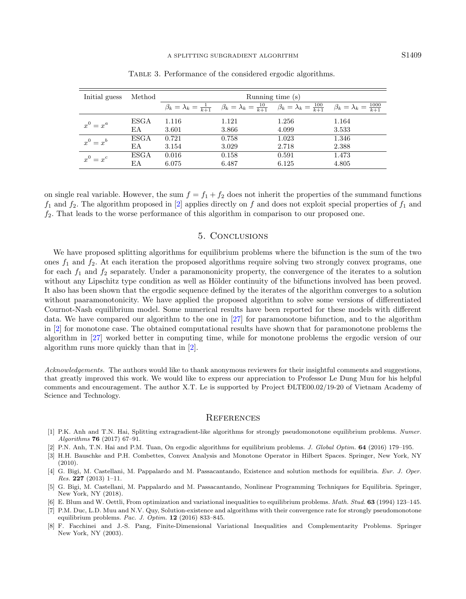<span id="page-14-9"></span>

| Initial guess | Method      | Running time (s)                      |                                        |                                         |                                          |  |  |  |
|---------------|-------------|---------------------------------------|----------------------------------------|-----------------------------------------|------------------------------------------|--|--|--|
|               |             | $\beta_k = \lambda_k = \frac{1}{k+1}$ | $\beta_k = \lambda_k = \frac{10}{k+1}$ | $\beta_k = \lambda_k = \frac{100}{k+1}$ | $\beta_k = \lambda_k = \frac{1000}{k+1}$ |  |  |  |
| $x^0 = x^a$   | ESGA        | 1.116                                 | 1.121                                  | 1.256                                   | 1.164                                    |  |  |  |
|               | ΕA          | 3.601                                 | 3.866                                  | 4.099                                   | 3.533                                    |  |  |  |
| $x^0 = x^b$   | <b>ESGA</b> | 0.721                                 | 0.758                                  | 1.023                                   | 1.346                                    |  |  |  |
|               | ΕA          | 3.154                                 | 3.029                                  | 2.718                                   | 2.388                                    |  |  |  |
| $x^0 = x^c$   | ESGA        | 0.016                                 | 0.158                                  | 0.591                                   | 1.473                                    |  |  |  |
|               | ЕA          | 6.075                                 | 6.487                                  | 6.125                                   | 4.805                                    |  |  |  |

Table 3. Performance of the considered ergodic algorithms.

on single real variable. However, the sum  $f = f_1 + f_2$  does not inherit the properties of the summand functions  $f_1$  and  $f_2$ . The algorithm proposed in [\[2\]](#page-14-4) applies directly on f and does not exploit special properties of  $f_1$  and  $f_2$ . That leads to the worse performance of this algorithm in comparison to our proposed one.

# 5. Conclusions

<span id="page-14-6"></span>We have proposed splitting algorithms for equilibrium problems where the bifunction is the sum of the two ones  $f_1$  and  $f_2$ . At each iteration the proposed algorithms require solving two strongly convex programs, one for each  $f_1$  and  $f_2$  separately. Under a paramononicity property, the convergence of the iterates to a solution without any Lipschitz type condition as well as Hölder continuity of the bifunctions involved has been proved. It also has been shown that the ergodic sequence defined by the iterates of the algorithm converges to a solution without paaramonotonicity. We have applied the proposed algorithm to solve some versions of differentiated Cournot-Nash equilibrium model. Some numerical results have been reported for these models with different data. We have compared our algorithm to the one in [\[27\]](#page-15-8) for paramonotone bifunction, and to the algorithm in [\[2\]](#page-14-4) for monotone case. The obtained computational results have shown that for paramonotone problems the algorithm in [\[27\]](#page-15-8) worked better in computing time, while for monotone problems the ergodic version of our algorithm runs more quickly than that in [\[2\]](#page-14-4).

<span id="page-14-7"></span><span id="page-14-5"></span><span id="page-14-4"></span><span id="page-14-3"></span><span id="page-14-2"></span><span id="page-14-1"></span><span id="page-14-0"></span>Acknowledgements. The authors would like to thank anonymous reviewers for their insightful comments and suggestions, that greatly improved this work. We would like to express our appreciation to Professor Le Dung Muu for his helpful comments and encouragement. The author X.T. Le is supported by Project DLTE00.02/19-20 of Vietnam Academy of Science and Technology.

#### **REFERENCES**

- <span id="page-14-8"></span>[1] P.K. Anh and T.N. Hai, Splitting extragradient-like algorithms for strongly pseudomonotone equilibrium problems. Numer. Algorithms 76 (2017) 67–91.
- [2] P.N. Anh, T.N. Hai and P.M. Tuan, On ergodic algorithms for equilibrium problems. J. Global Optim. 64 (2016) 179–195.
- [3] H.H. Bauschke and P.H. Combettes, Convex Analysis and Monotone Operator in Hilbert Spaces. Springer, New York, NY  $(2010).$
- [4] G. Bigi, M. Castellani, M. Pappalardo and M. Passacantando, Existence and solution methods for equilibria. Eur. J. Oper. Res. 227 (2013) 1–11.
- [5] G. Bigi, M. Castellani, M. Pappalardo and M. Passacantando, Nonlinear Programming Techniques for Equilibria. Springer, New York, NY (2018).
- [6] E. Blum and W. Oettli, From optimization and variational inequalities to equilibrium problems. Math. Stud. 63 (1994) 123–145.
- [7] P.M. Duc, L.D. Muu and N.V. Quy, Solution-existence and algorithms with their convergence rate for strongly pseudomonotone equilibrium problems. Pac. J. Optim. 12 (2016) 833–845.
- [8] F. Facchinei and J.-S. Pang, Finite-Dimensional Variational Inequalities and Complementarity Problems. Springer New York, NY (2003).